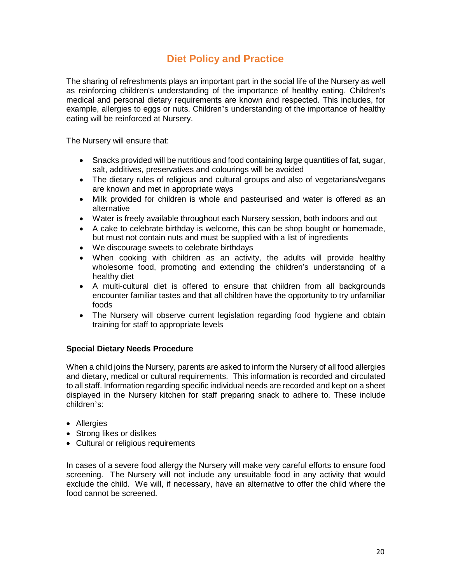## **Diet Policy and Practice**

The sharing of refreshments plays an important part in the social life of the Nursery as well as reinforcing children's understanding of the importance of healthy eating. Children's medical and personal dietary requirements are known and respected. This includes, for example, allergies to eggs or nuts. Children's understanding of the importance of healthy eating will be reinforced at Nursery.

The Nursery will ensure that:

- Snacks provided will be nutritious and food containing large quantities of fat, sugar, salt, additives, preservatives and colourings will be avoided
- The dietary rules of religious and cultural groups and also of vegetarians/vegans are known and met in appropriate ways
- Milk provided for children is whole and pasteurised and water is offered as an alternative
- Water is freely available throughout each Nursery session, both indoors and out
- A cake to celebrate birthday is welcome, this can be shop bought or homemade, but must not contain nuts and must be supplied with a list of ingredients
- We discourage sweets to celebrate birthdays
- When cooking with children as an activity, the adults will provide healthy wholesome food, promoting and extending the children's understanding of a healthy diet
- A multi-cultural diet is offered to ensure that children from all backgrounds encounter familiar tastes and that all children have the opportunity to try unfamiliar foods
- The Nursery will observe current legislation regarding food hygiene and obtain training for staff to appropriate levels

## **Special Dietary Needs Procedure**

When a child joins the Nursery, parents are asked to inform the Nursery of all food allergies and dietary, medical or cultural requirements. This information is recorded and circulated to all staff. Information regarding specific individual needs are recorded and kept on a sheet displayed in the Nursery kitchen for staff preparing snack to adhere to. These include children's:

- Allergies
- Strong likes or dislikes
- Cultural or religious requirements

In cases of a severe food allergy the Nursery will make very careful efforts to ensure food screening. The Nursery will not include any unsuitable food in any activity that would exclude the child. We will, if necessary, have an alternative to offer the child where the food cannot be screened.